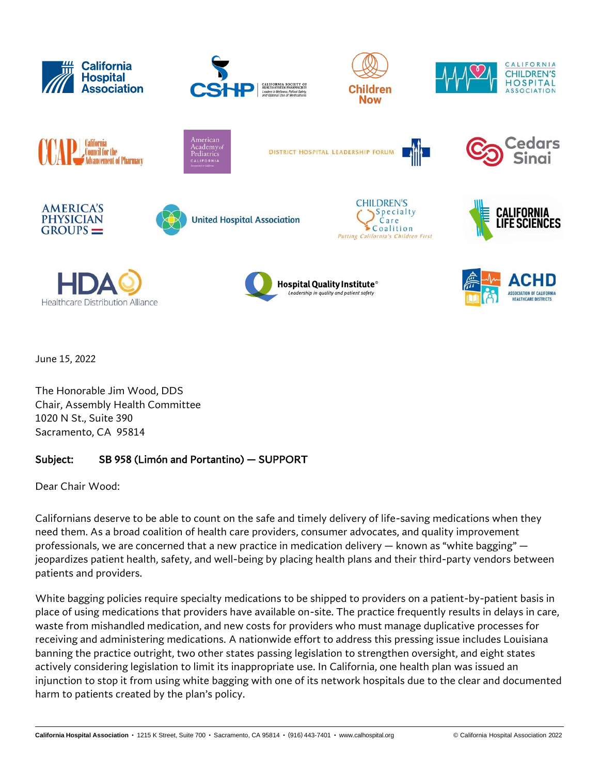

June 15, 2022

The Honorable Jim Wood, DDS Chair, Assembly Health Committee 1020 N St., Suite 390 Sacramento, CA 95814

## Subject: SB 958 (Limón and Portantino) — SUPPORT

Dear Chair Wood:

Californians deserve to be able to count on the safe and timely delivery of life-saving medications when they need them. As a broad coalition of health care providers, consumer advocates, and quality improvement professionals, we are concerned that a new practice in medication delivery — known as "white bagging" jeopardizes patient health, safety, and well-being by placing health plans and their third-party vendors between patients and providers.

White bagging policies require specialty medications to be shipped to providers on a patient-by-patient basis in place of using medications that providers have available on-site. The practice frequently results in delays in care, waste from mishandled medication, and new costs for providers who must manage duplicative processes for receiving and administering medications. A nationwide effort to address this pressing issue includes Louisiana banning the practice outright, two other states passing legislation to strengthen oversight, and eight states actively considering legislation to limit its inappropriate use. In California, one health plan was issued an injunction to stop it from using white bagging with one of its network hospitals due to the clear and documented harm to patients created by the plan's policy.